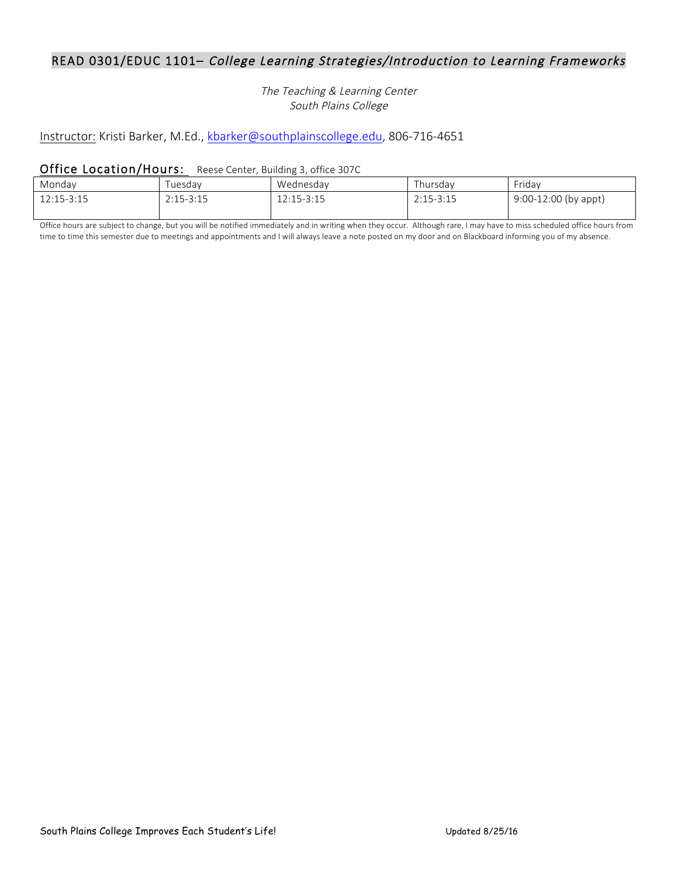## READ 0301/EDUC 1101– College Learning Strategies/Introduction to Learning Frameworks

The Teaching & Learning Center South Plains College

# Instructor: Kristi Barker, M.Ed., kbarker@southplainscollege.edu, 806-716-4651

#### Office Location/Hours: Reese Center, Building 3, office 307C

| Mondav     | i uesdav    | Wednesdav  | Thursdav      | Fridav                 |
|------------|-------------|------------|---------------|------------------------|
| 12:15-3:15 | $2:15-3:15$ | 12:15-3:15 | $2:15 - 3:15$ | $9:00-12:00$ (by appt) |

Office hours are subject to change, but you will be notified immediately and in writing when they occur. Although rare, I may have to miss scheduled office hours from time to time this semester due to meetings and appointments and I will always leave a note posted on my door and on Blackboard informing you of my absence.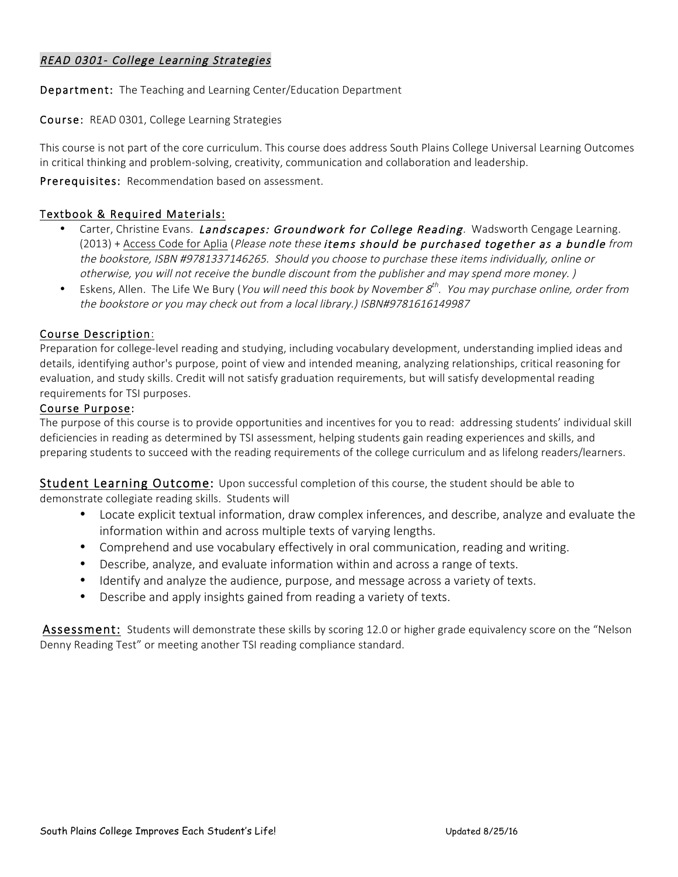## READ 0301- College Learning Strategies

Department: The Teaching and Learning Center/Education Department

Course: READ 0301, College Learning Strategies

This course is not part of the core curriculum. This course does address South Plains College Universal Learning Outcomes in critical thinking and problem-solving, creativity, communication and collaboration and leadership.

Prerequisites: Recommendation based on assessment.

## Textbook & Required Materials:

- Carter, Christine Evans. Landscapes: Groundwork for College Reading. Wadsworth Cengage Learning. (2013) + Access Code for Aplia (Please note these items should be purchased together as a bundle from the bookstore, ISBN #9781337146265. Should you choose to purchase these items individually, online or otherwise, you will not receive the bundle discount from the publisher and may spend more money. )
- Eskens, Allen. The Life We Bury (You will need this book by November  $g^{th}$ . You may purchase online, order from the bookstore or you may check out from a local library.) ISBN#9781616149987

#### Course Description:

Preparation for college-level reading and studying, including vocabulary development, understanding implied ideas and details, identifying author's purpose, point of view and intended meaning, analyzing relationships, critical reasoning for evaluation, and study skills. Credit will not satisfy graduation requirements, but will satisfy developmental reading requirements for TSI purposes.

#### Course Purpose:

The purpose of this course is to provide opportunities and incentives for you to read: addressing students' individual skill deficiencies in reading as determined by TSI assessment, helping students gain reading experiences and skills, and preparing students to succeed with the reading requirements of the college curriculum and as lifelong readers/learners.

Student Learning Outcome: Upon successful completion of this course, the student should be able to

demonstrate collegiate reading skills. Students will

- Locate explicit textual information, draw complex inferences, and describe, analyze and evaluate the information within and across multiple texts of varying lengths.
- Comprehend and use vocabulary effectively in oral communication, reading and writing.
- Describe, analyze, and evaluate information within and across a range of texts.
- Identify and analyze the audience, purpose, and message across a variety of texts.
- Describe and apply insights gained from reading a variety of texts.

Assessment: Students will demonstrate these skills by scoring 12.0 or higher grade equivalency score on the "Nelson Denny Reading Test" or meeting another TSI reading compliance standard.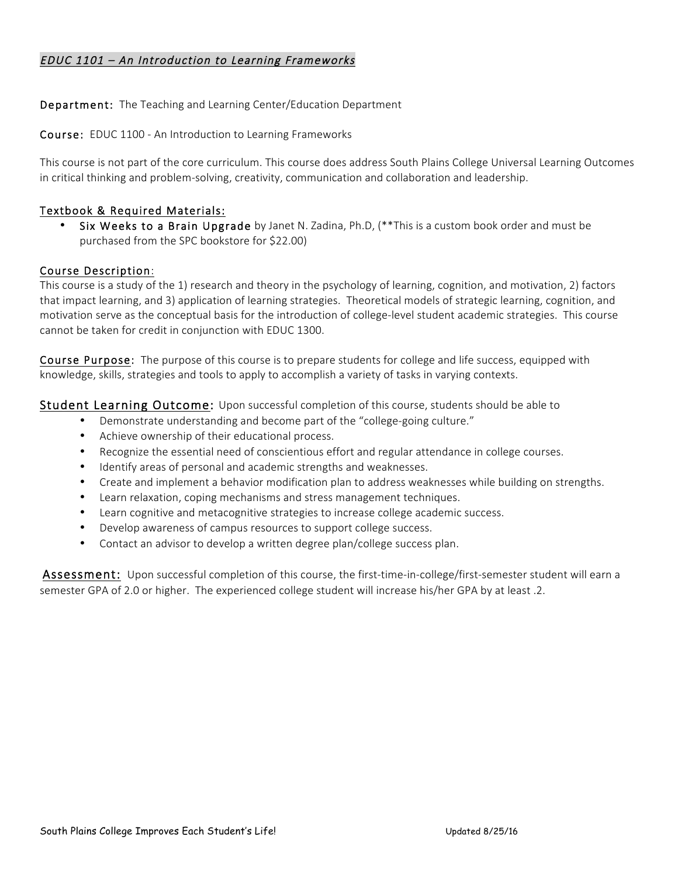## EDUC 1101 – An Introduction to Learning Frameworks

Department: The Teaching and Learning Center/Education Department

Course: EDUC 1100 - An Introduction to Learning Frameworks

This course is not part of the core curriculum. This course does address South Plains College Universal Learning Outcomes in critical thinking and problem-solving, creativity, communication and collaboration and leadership.

## Textbook & Required Materials:

Six Weeks to a Brain Upgrade by Janet N. Zadina, Ph.D, (\*\*This is a custom book order and must be purchased from the SPC bookstore for \$22.00)

### Course Description:

This course is a study of the 1) research and theory in the psychology of learning, cognition, and motivation, 2) factors that impact learning, and 3) application of learning strategies. Theoretical models of strategic learning, cognition, and motivation serve as the conceptual basis for the introduction of college-level student academic strategies. This course cannot be taken for credit in conjunction with EDUC 1300.

Course Purpose: The purpose of this course is to prepare students for college and life success, equipped with knowledge, skills, strategies and tools to apply to accomplish a variety of tasks in varying contexts.

Student Learning Outcome: Upon successful completion of this course, students should be able to

- Demonstrate understanding and become part of the "college-going culture."
- Achieve ownership of their educational process.
- Recognize the essential need of conscientious effort and regular attendance in college courses.
- Identify areas of personal and academic strengths and weaknesses.
- Create and implement a behavior modification plan to address weaknesses while building on strengths.
- Learn relaxation, coping mechanisms and stress management techniques.
- Learn cognitive and metacognitive strategies to increase college academic success.
- Develop awareness of campus resources to support college success.
- Contact an advisor to develop a written degree plan/college success plan.

Assessment: Upon successful completion of this course, the first-time-in-college/first-semester student will earn a semester GPA of 2.0 or higher. The experienced college student will increase his/her GPA by at least .2.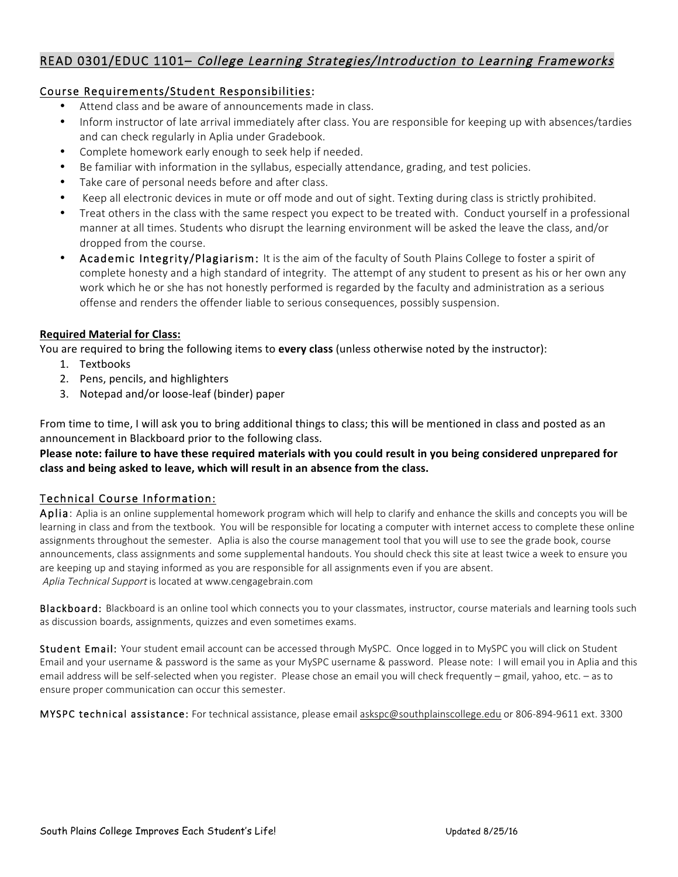## READ 0301/EDUC 1101– College Learning Strategies/Introduction to Learning Frameworks

## Course Requirements/Student Responsibilities:

- Attend class and be aware of announcements made in class.
- Inform instructor of late arrival immediately after class. You are responsible for keeping up with absences/tardies and can check regularly in Aplia under Gradebook.
- Complete homework early enough to seek help if needed.
- Be familiar with information in the syllabus, especially attendance, grading, and test policies.
- Take care of personal needs before and after class.
- Keep all electronic devices in mute or off mode and out of sight. Texting during class is strictly prohibited.
- Treat others in the class with the same respect you expect to be treated with. Conduct yourself in a professional manner at all times. Students who disrupt the learning environment will be asked the leave the class, and/or dropped from the course.
- Academic Integrity/Plagiarism: It is the aim of the faculty of South Plains College to foster a spirit of complete honesty and a high standard of integrity. The attempt of any student to present as his or her own any work which he or she has not honestly performed is regarded by the faculty and administration as a serious offense and renders the offender liable to serious consequences, possibly suspension.

## **Required Material for Class:**

You are required to bring the following items to **every class** (unless otherwise noted by the instructor):

- 1. Textbooks
- 2. Pens, pencils, and highlighters
- 3. Notepad and/or loose-leaf (binder) paper

From time to time, I will ask you to bring additional things to class; this will be mentioned in class and posted as an announcement in Blackboard prior to the following class.

## Please note: failure to have these required materials with you could result in you being considered unprepared for class and being asked to leave, which will result in an absence from the class.

### Technical Course Information:

Aplia: Aplia is an online supplemental homework program which will help to clarify and enhance the skills and concepts you will be learning in class and from the textbook. You will be responsible for locating a computer with internet access to complete these online assignments throughout the semester. Aplia is also the course management tool that you will use to see the grade book, course announcements, class assignments and some supplemental handouts. You should check this site at least twice a week to ensure you are keeping up and staying informed as you are responsible for all assignments even if you are absent. Aplia Technical Support is located at www.cengagebrain.com

Blackboard: Blackboard is an online tool which connects you to your classmates, instructor, course materials and learning tools such as discussion boards, assignments, quizzes and even sometimes exams.

Student Email: Your student email account can be accessed through MySPC. Once logged in to MySPC you will click on Student Email and your username & password is the same as your MySPC username & password. Please note: I will email you in Aplia and this email address will be self-selected when you register. Please chose an email you will check frequently – gmail, yahoo, etc. – as to ensure proper communication can occur this semester.

MYSPC technical assistance: For technical assistance, please email askspc@southplainscollege.edu or 806-894-9611 ext. 3300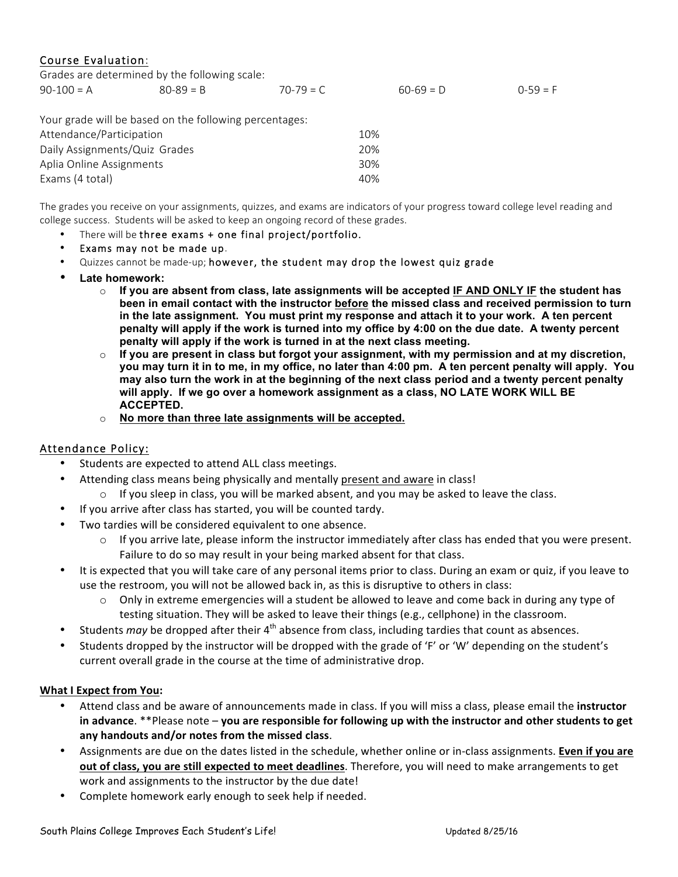## Course Evaluation:

|                               | Grades are determined by the following scale:          |             |             |            |
|-------------------------------|--------------------------------------------------------|-------------|-------------|------------|
| $90-100 = A$                  | $80 - 89 = B$                                          | $70-79 = C$ | $60-69 = D$ | $0-59 = F$ |
|                               |                                                        |             |             |            |
|                               | Your grade will be based on the following percentages: |             |             |            |
| Attendance/Participation      |                                                        |             | 10%         |            |
| Daily Assignments/Quiz Grades |                                                        |             | 20%         |            |
| Aplia Online Assignments      |                                                        |             | 30%         |            |
| Exams (4 total)               |                                                        |             | 40%         |            |

The grades you receive on your assignments, quizzes, and exams are indicators of your progress toward college level reading and college success. Students will be asked to keep an ongoing record of these grades.

- There will be three exams + one final project/portfolio.
- Exams may not be made up.
- Quizzes cannot be made-up; however, the student may drop the lowest quiz grade
- **Late homework:**
	- o **If you are absent from class, late assignments will be accepted IF AND ONLY IF the student has been in email contact with the instructor before the missed class and received permission to turn in the late assignment. You must print my response and attach it to your work. A ten percent penalty will apply if the work is turned into my office by 4:00 on the due date. A twenty percent penalty will apply if the work is turned in at the next class meeting.**
	- o **If you are present in class but forgot your assignment, with my permission and at my discretion, you may turn it in to me, in my office, no later than 4:00 pm. A ten percent penalty will apply. You may also turn the work in at the beginning of the next class period and a twenty percent penalty will apply. If we go over a homework assignment as a class, NO LATE WORK WILL BE ACCEPTED.**
	- o **No more than three late assignments will be accepted.**

### Attendance Policy:

- Students are expected to attend ALL class meetings.
- Attending class means being physically and mentally present and aware in class!
	- $\circ$  If you sleep in class, you will be marked absent, and you may be asked to leave the class.
- If you arrive after class has started, you will be counted tardy.
- Two tardies will be considered equivalent to one absence.
	- $\circ$  If you arrive late, please inform the instructor immediately after class has ended that you were present. Failure to do so may result in your being marked absent for that class.
- It is expected that you will take care of any personal items prior to class. During an exam or quiz, if you leave to use the restroom, you will not be allowed back in, as this is disruptive to others in class:
	- $\circ$  Only in extreme emergencies will a student be allowed to leave and come back in during any type of testing situation. They will be asked to leave their things (e.g., cellphone) in the classroom.
- Students *may* be dropped after their 4<sup>th</sup> absence from class, including tardies that count as absences.
- Students dropped by the instructor will be dropped with the grade of 'F' or 'W' depending on the student's current overall grade in the course at the time of administrative drop.

#### **What I Expect from You:**

- Attend class and be aware of announcements made in class. If you will miss a class, please email the *instructor* in advance. \*\*Please note – you are responsible for following up with the instructor and other students to get any handouts and/or notes from the missed class.
- Assignments are due on the dates listed in the schedule, whether online or in-class assignments. **Even if you are out of class, you are still expected to meet deadlines**. Therefore, you will need to make arrangements to get work and assignments to the instructor by the due date!
- Complete homework early enough to seek help if needed.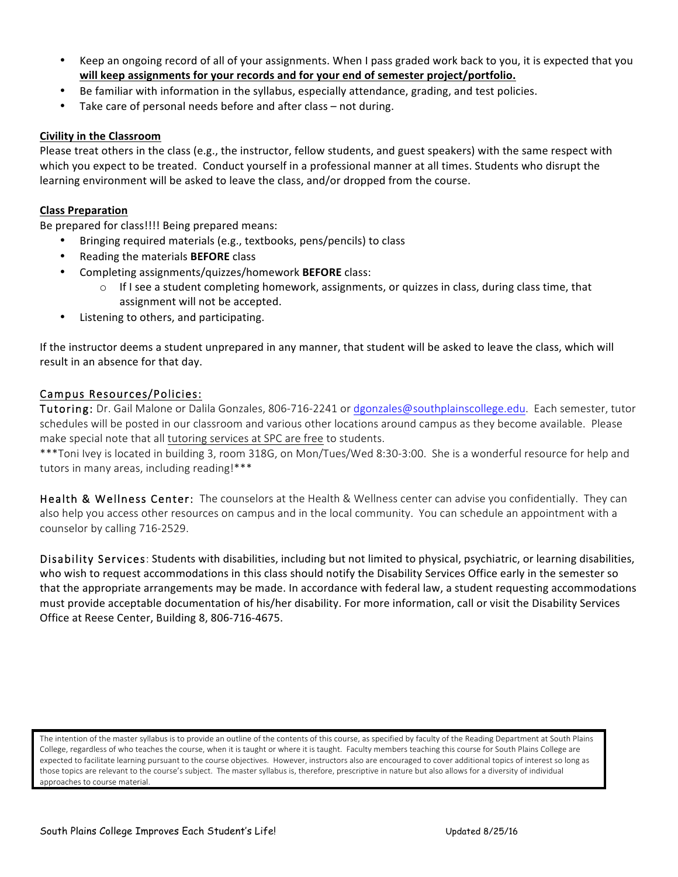- Keep an ongoing record of all of your assignments. When I pass graded work back to you, it is expected that you will keep assignments for your records and for your end of semester project/portfolio.
- Be familiar with information in the syllabus, especially attendance, grading, and test policies.
- Take care of personal needs before and after class  $-$  not during.

#### **Civility in the Classroom**

Please treat others in the class (e.g., the instructor, fellow students, and guest speakers) with the same respect with which you expect to be treated. Conduct yourself in a professional manner at all times. Students who disrupt the learning environment will be asked to leave the class, and/or dropped from the course.

#### **Class Preparation**

Be prepared for class!!!! Being prepared means:

- Bringing required materials (e.g., textbooks, pens/pencils) to class
- Reading the materials **BEFORE** class
- Completing assignments/quizzes/homework **BEFORE** class:
	- $\circ$  If I see a student completing homework, assignments, or quizzes in class, during class time, that assignment will not be accepted.
- Listening to others, and participating.

If the instructor deems a student unprepared in any manner, that student will be asked to leave the class, which will result in an absence for that day.

### Campus Resources/Policies:

Tutoring: Dr. Gail Malone or Dalila Gonzales, 806-716-2241 or dgonzales@southplainscollege.edu. Each semester, tutor schedules will be posted in our classroom and various other locations around campus as they become available. Please make special note that all tutoring services at SPC are free to students.

\*\*\*Toni Ivey is located in building 3, room 318G, on Mon/Tues/Wed 8:30-3:00. She is a wonderful resource for help and tutors in many areas, including reading!\*\*\*

Health & Wellness Center: The counselors at the Health & Wellness center can advise you confidentially. They can also help you access other resources on campus and in the local community. You can schedule an appointment with a counselor by calling 716-2529.

Disability Services: Students with disabilities, including but not limited to physical, psychiatric, or learning disabilities, who wish to request accommodations in this class should notify the Disability Services Office early in the semester so that the appropriate arrangements may be made. In accordance with federal law, a student requesting accommodations must provide acceptable documentation of his/her disability. For more information, call or visit the Disability Services Office at Reese Center, Building 8, 806-716-4675.

The intention of the master syllabus is to provide an outline of the contents of this course, as specified by faculty of the Reading Department at South Plains College, regardless of who teaches the course, when it is taught or where it is taught. Faculty members teaching this course for South Plains College are expected to facilitate learning pursuant to the course objectives. However, instructors also are encouraged to cover additional topics of interest so long as those topics are relevant to the course's subject. The master syllabus is, therefore, prescriptive in nature but also allows for a diversity of individual approaches to course material.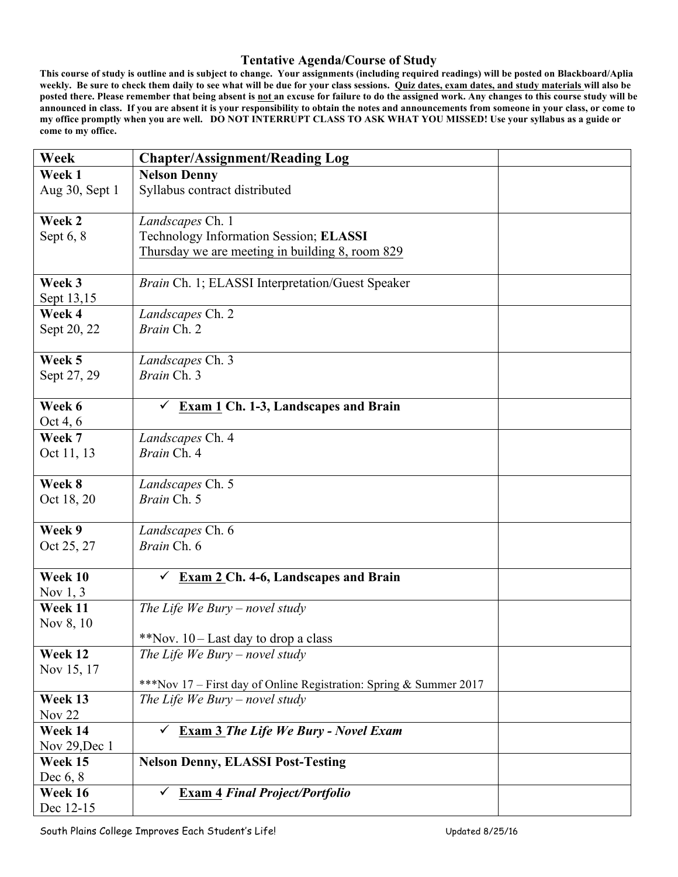### **Tentative Agenda/Course of Study**

**This course of study is outline and is subject to change. Your assignments (including required readings) will be posted on Blackboard/Aplia weekly. Be sure to check them daily to see what will be due for your class sessions. Quiz dates, exam dates, and study materials will also be posted there. Please remember that being absent is not an excuse for failure to do the assigned work. Any changes to this course study will be announced in class. If you are absent it is your responsibility to obtain the notes and announcements from someone in your class, or come to my office promptly when you are well. DO NOT INTERRUPT CLASS TO ASK WHAT YOU MISSED! Use your syllabus as a guide or come to my office.** 

| Week           | <b>Chapter/Assignment/Reading Log</b>                              |  |
|----------------|--------------------------------------------------------------------|--|
| Week 1         | <b>Nelson Denny</b>                                                |  |
| Aug 30, Sept 1 | Syllabus contract distributed                                      |  |
|                |                                                                    |  |
| Week 2         | Landscapes Ch. 1                                                   |  |
| Sept $6, 8$    | Technology Information Session; ELASSI                             |  |
|                | Thursday we are meeting in building 8, room 829                    |  |
|                |                                                                    |  |
| Week 3         | Brain Ch. 1; ELASSI Interpretation/Guest Speaker                   |  |
| Sept 13,15     |                                                                    |  |
| Week 4         | Landscapes Ch. 2                                                   |  |
| Sept 20, 22    | Brain Ch. 2                                                        |  |
| Week 5         | Landscapes Ch. 3                                                   |  |
| Sept 27, 29    | Brain Ch. 3                                                        |  |
|                |                                                                    |  |
| Week 6         | Exam 1 Ch. 1-3, Landscapes and Brain                               |  |
| Oct 4, 6       |                                                                    |  |
| Week 7         | Landscapes Ch. 4                                                   |  |
| Oct 11, 13     | Brain Ch. 4                                                        |  |
|                |                                                                    |  |
| Week 8         | Landscapes Ch. 5                                                   |  |
| Oct 18, 20     | Brain Ch. 5                                                        |  |
|                |                                                                    |  |
| Week 9         | Landscapes Ch. 6                                                   |  |
| Oct 25, 27     | Brain Ch. 6                                                        |  |
| Week 10        | $\checkmark$                                                       |  |
| Nov $1, 3$     | <b>Exam 2 Ch. 4-6, Landscapes and Brain</b>                        |  |
| Week 11        | The Life We Bury – novel study                                     |  |
| Nov 8, 10      |                                                                    |  |
|                | **Nov. 10 – Last day to drop a class                               |  |
| Week 12        | The Life We Bury – novel study                                     |  |
| Nov 15, 17     |                                                                    |  |
|                | ***Nov 17 – First day of Online Registration: Spring & Summer 2017 |  |
| Week 13        | The Life We Bury – novel study                                     |  |
| Nov $22$       |                                                                    |  |
| Week 14        | <b>Exam 3 The Life We Bury - Novel Exam</b>                        |  |
| Nov 29, Dec 1  |                                                                    |  |
| Week 15        | <b>Nelson Denny, ELASSI Post-Testing</b>                           |  |
| Dec $6, 8$     |                                                                    |  |
| Week 16        | <b>Exam 4 Final Project/Portfolio</b><br>✓                         |  |
| Dec 12-15      |                                                                    |  |